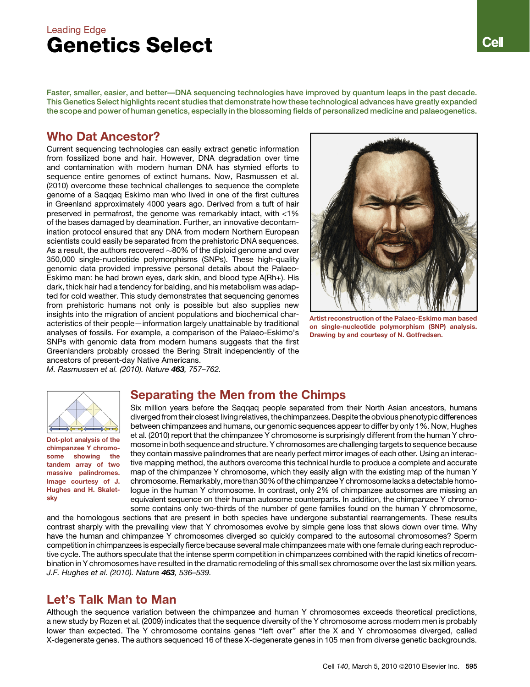# Leading Edge Genetics Select

Faster, smaller, easier, and better—DNA sequencing technologies have improved by quantum leaps in the past decade. This Genetics Select highlights recent studies that demonstrate how these technological advances have greatly expanded the scope and power of human genetics, especially in the blossoming fields of personalized medicine and palaeogenetics.

## Who Dat Ancestor?

Current sequencing technologies can easily extract genetic information from fossilized bone and hair. However, DNA degradation over time and contamination with modern human DNA has stymied efforts to sequence entire genomes of extinct humans. Now, Rasmussen et al. (2010) overcome these technical challenges to sequence the complete genome of a Saqqaq Eskimo man who lived in one of the first cultures in Greenland approximately 4000 years ago. Derived from a tuft of hair preserved in permafrost, the genome was remarkably intact, with <1% of the bases damaged by deamination. Further, an innovative decontamination protocol ensured that any DNA from modern Northern European scientists could easily be separated from the prehistoric DNA sequences. As a result, the authors recovered  $\sim$ 80% of the diploid genome and over 350,000 single-nucleotide polymorphisms (SNPs). These high-quality genomic data provided impressive personal details about the Palaeo-Eskimo man: he had brown eyes, dark skin, and blood type A(Rh+). His dark, thick hair had a tendency for balding, and his metabolism was adapted for cold weather. This study demonstrates that sequencing genomes from prehistoric humans not only is possible but also supplies new insights into the migration of ancient populations and biochemical characteristics of their people—information largely unattainable by traditional analyses of fossils. For example, a comparison of the Palaeo-Eskimo's SNPs with genomic data from modern humans suggests that the first Greenlanders probably crossed the Bering Strait independently of the ancestors of present-day Native Americans.



Artist reconstruction of the Palaeo-Eskimo man based on single-nucleotide polymorphism (SNP) analysis. Drawing by and courtesy of N. Gotfredsen.

*M. Rasmussen et al. (2010). Nature* 463*, 757–762.*



Dot-plot analysis of the chimpanzee Y chromosome showing the tandem array of two massive palindromes. Image courtesy of J. Hughes and H. Skaletsky

### Separating the Men from the Chimps

Six million years before the Saqqaq people separated from their North Asian ancestors, humans divergedfrom their closest living relatives, the chimpanzees. Despite the obvious phenotypic differences between chimpanzees and humans, our genomic sequences appear to differ by only 1%. Now, Hughes et al. (2010) report that the chimpanzee Y chromosome is surprisingly different from the human Y chromosome in both sequence and structure. Y chromosomes are challenging targets to sequence because they contain massive palindromes that are nearly perfect mirror images of each other. Using an interactive mapping method, the authors overcome this technical hurdle to produce a complete and accurate map of the chimpanzee Y chromosome, which they easily align with the existing map of the human Y chromosome. Remarkably, more than 30% of the chimpanzee Y chromosome lacks a detectable homologue in the human Y chromosome. In contrast, only 2% of chimpanzee autosomes are missing an equivalent sequence on their human autosome counterparts. In addition, the chimpanzee Y chromosome contains only two-thirds of the number of gene families found on the human Y chromosome,

and the homologous sections that are present in both species have undergone substantial rearrangements. These results contrast sharply with the prevailing view that Y chromosomes evolve by simple gene loss that slows down over time. Why have the human and chimpanzee Y chromosomes diverged so quickly compared to the autosomal chromosomes? Sperm competition in chimpanzees is especially fierce because several male chimpanzees mate with one female during each reproductive cycle. The authors speculate that the intense sperm competition in chimpanzees combined with the rapid kinetics of recombination in Y chromosomes have resulted in the dramatic remodeling of this small sex chromosome over the last six million years. *J.F. Hughes et al. (2010). Nature* 463*, 536–539.*

# Let's Talk Man to Man

Although the sequence variation between the chimpanzee and human Y chromosomes exceeds theoretical predictions, a new study by Rozen et al. (2009) indicates that the sequence diversity of the Y chromosome across modern men is probably lower than expected. The Y chromosome contains genes "left over" after the X and Y chromosomes diverged, called X-degenerate genes. The authors sequenced 16 of these X-degenerate genes in 105 men from diverse genetic backgrounds.